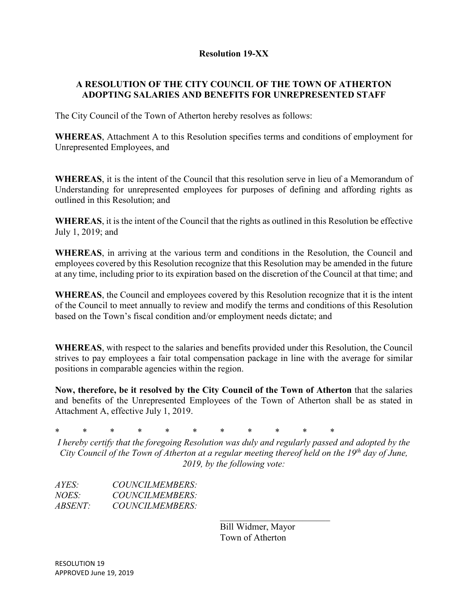## **Resolution 19-XX**

# **A RESOLUTION OF THE CITY COUNCIL OF THE TOWN OF ATHERTON ADOPTING SALARIES AND BENEFITS FOR UNREPRESENTED STAFF**

The City Council of the Town of Atherton hereby resolves as follows:

**WHEREAS**, Attachment A to this Resolution specifies terms and conditions of employment for Unrepresented Employees, and

**WHEREAS**, it is the intent of the Council that this resolution serve in lieu of a Memorandum of Understanding for unrepresented employees for purposes of defining and affording rights as outlined in this Resolution; and

**WHEREAS**, it is the intent of the Council that the rights as outlined in this Resolution be effective July 1, 2019; and

**WHEREAS**, in arriving at the various term and conditions in the Resolution, the Council and employees covered by this Resolution recognize that this Resolution may be amended in the future at any time, including prior to its expiration based on the discretion of the Council at that time; and

**WHEREAS**, the Council and employees covered by this Resolution recognize that it is the intent of the Council to meet annually to review and modify the terms and conditions of this Resolution based on the Town's fiscal condition and/or employment needs dictate; and

**WHEREAS**, with respect to the salaries and benefits provided under this Resolution, the Council strives to pay employees a fair total compensation package in line with the average for similar positions in comparable agencies within the region.

**Now, therefore, be it resolved by the City Council of the Town of Atherton** that the salaries and benefits of the Unrepresented Employees of the Town of Atherton shall be as stated in Attachment A, effective July 1, 2019.

\* \* \* \* \* \* \* \* \* \* \*

*I hereby certify that the foregoing Resolution was duly and regularly passed and adopted by the City Council of the Town of Atherton at a regular meeting thereof held on the 19th day of June, 2019, by the following vote:* 

| AYES:          | COUNCILMEMBERS: |
|----------------|-----------------|
| <i>NOES:</i>   | COUNCILMEMBERS: |
| <i>ABSENT:</i> | COUNCILMEMBERS: |

 Bill Widmer, Mayor Town of Atherton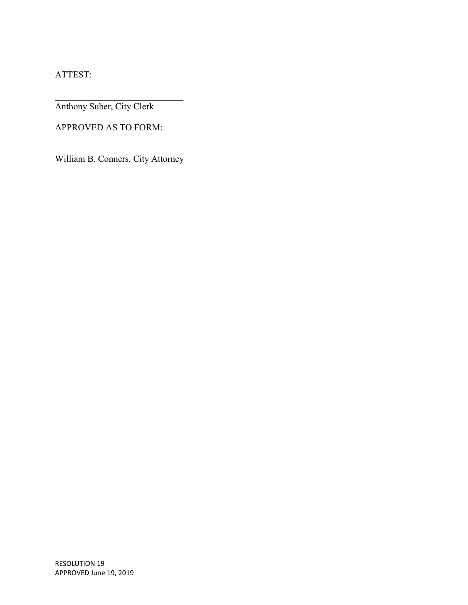ATTEST:

Anthony Suber, City Clerk

APPROVED AS TO FORM:

 $\overline{\mathcal{L}}$  , which is a set of the set of the set of the set of the set of the set of the set of the set of the set of the set of the set of the set of the set of the set of the set of the set of the set of the set of th William B. Conners, City Attorney

 $\overline{\mathcal{L}}$  , and the set of the set of the set of the set of the set of the set of the set of the set of the set of the set of the set of the set of the set of the set of the set of the set of the set of the set of the s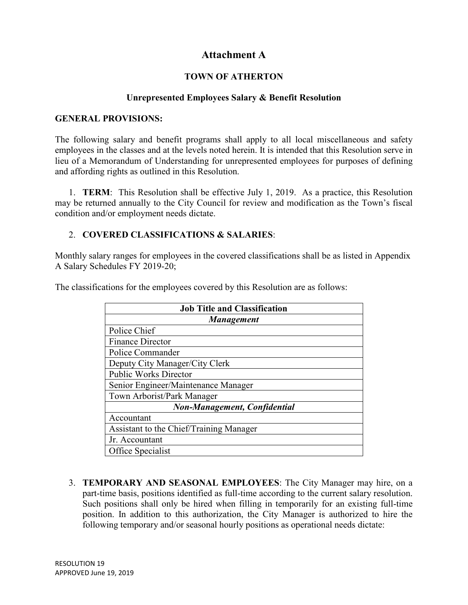# **Attachment A**

## **TOWN OF ATHERTON**

### **Unrepresented Employees Salary & Benefit Resolution**

#### **GENERAL PROVISIONS:**

The following salary and benefit programs shall apply to all local miscellaneous and safety employees in the classes and at the levels noted herein. It is intended that this Resolution serve in lieu of a Memorandum of Understanding for unrepresented employees for purposes of defining and affording rights as outlined in this Resolution.

1. **TERM**: This Resolution shall be effective July 1, 2019. As a practice, this Resolution may be returned annually to the City Council for review and modification as the Town's fiscal condition and/or employment needs dictate.

### 2. **COVERED CLASSIFICATIONS & SALARIES**:

Monthly salary ranges for employees in the covered classifications shall be as listed in Appendix A Salary Schedules FY 2019-20;

The classifications for the employees covered by this Resolution are as follows:

| <b>Job Title and Classification</b>     |  |  |
|-----------------------------------------|--|--|
| <b>Management</b>                       |  |  |
| Police Chief                            |  |  |
| <b>Finance Director</b>                 |  |  |
| Police Commander                        |  |  |
| Deputy City Manager/City Clerk          |  |  |
| <b>Public Works Director</b>            |  |  |
| Senior Engineer/Maintenance Manager     |  |  |
| Town Arborist/Park Manager              |  |  |
| <b>Non-Management, Confidential</b>     |  |  |
| Accountant                              |  |  |
| Assistant to the Chief/Training Manager |  |  |
| Jr. Accountant                          |  |  |
| Office Specialist                       |  |  |

3. **TEMPORARY AND SEASONAL EMPLOYEES**: The City Manager may hire, on a part-time basis, positions identified as full-time according to the current salary resolution. Such positions shall only be hired when filling in temporarily for an existing full-time position. In addition to this authorization, the City Manager is authorized to hire the following temporary and/or seasonal hourly positions as operational needs dictate: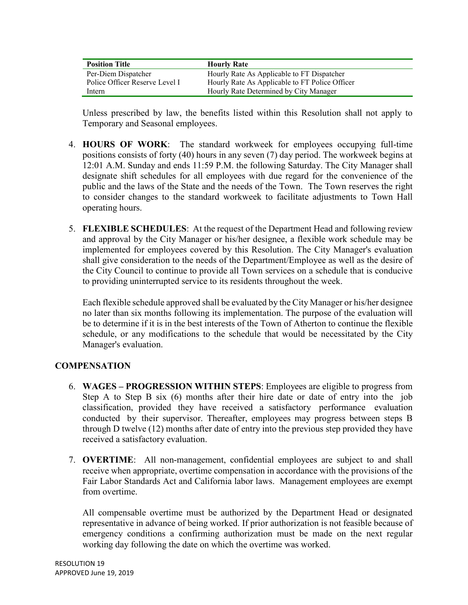| <b>Position Title</b>          | <b>Hourly Rate</b>                             |
|--------------------------------|------------------------------------------------|
| Per-Diem Dispatcher            | Hourly Rate As Applicable to FT Dispatcher     |
| Police Officer Reserve Level I | Hourly Rate As Applicable to FT Police Officer |
| Intern                         | Hourly Rate Determined by City Manager         |

Unless prescribed by law, the benefits listed within this Resolution shall not apply to Temporary and Seasonal employees.

- 4. **HOURS OF WORK**: The standard workweek for employees occupying full-time positions consists of forty (40) hours in any seven (7) day period. The workweek begins at 12:01 A.M. Sunday and ends 11:59 P.M. the following Saturday. The City Manager shall designate shift schedules for all employees with due regard for the convenience of the public and the laws of the State and the needs of the Town. The Town reserves the right to consider changes to the standard workweek to facilitate adjustments to Town Hall operating hours.
- 5. **FLEXIBLE SCHEDULES**: At the request of the Department Head and following review and approval by the City Manager or his/her designee, a flexible work schedule may be implemented for employees covered by this Resolution. The City Manager's evaluation shall give consideration to the needs of the Department/Employee as well as the desire of the City Council to continue to provide all Town services on a schedule that is conducive to providing uninterrupted service to its residents throughout the week.

Each flexible schedule approved shall be evaluated by the City Manager or his/her designee no later than six months following its implementation. The purpose of the evaluation will be to determine if it is in the best interests of the Town of Atherton to continue the flexible schedule, or any modifications to the schedule that would be necessitated by the City Manager's evaluation.

#### **COMPENSATION**

- 6. **WAGES PROGRESSION WITHIN STEPS**: Employees are eligible to progress from Step A to Step B six (6) months after their hire date or date of entry into the job classification, provided they have received a satisfactory performance evaluation conducted by their supervisor. Thereafter, employees may progress between steps B through D twelve (12) months after date of entry into the previous step provided they have received a satisfactory evaluation.
- 7. **OVERTIME**: All non-management, confidential employees are subject to and shall receive when appropriate, overtime compensation in accordance with the provisions of the Fair Labor Standards Act and California labor laws. Management employees are exempt from overtime.

All compensable overtime must be authorized by the Department Head or designated representative in advance of being worked. If prior authorization is not feasible because of emergency conditions a confirming authorization must be made on the next regular working day following the date on which the overtime was worked.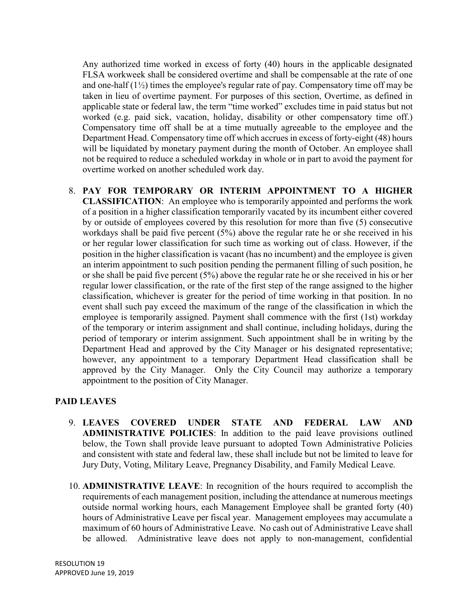Any authorized time worked in excess of forty (40) hours in the applicable designated FLSA workweek shall be considered overtime and shall be compensable at the rate of one and one-half  $(1\frac{1}{2})$  times the employee's regular rate of pay. Compensatory time off may be taken in lieu of overtime payment. For purposes of this section, Overtime, as defined in applicable state or federal law, the term "time worked" excludes time in paid status but not worked (e.g. paid sick, vacation, holiday, disability or other compensatory time off.) Compensatory time off shall be at a time mutually agreeable to the employee and the Department Head. Compensatory time off which accrues in excess of forty-eight (48) hours will be liquidated by monetary payment during the month of October. An employee shall not be required to reduce a scheduled workday in whole or in part to avoid the payment for overtime worked on another scheduled work day.

8. **PAY FOR TEMPORARY OR INTERIM APPOINTMENT TO A HIGHER CLASSIFICATION**: An employee who is temporarily appointed and performs the work of a position in a higher classification temporarily vacated by its incumbent either covered by or outside of employees covered by this resolution for more than five (5) consecutive workdays shall be paid five percent (5%) above the regular rate he or she received in his or her regular lower classification for such time as working out of class. However, if the position in the higher classification is vacant (has no incumbent) and the employee is given an interim appointment to such position pending the permanent filling of such position, he or she shall be paid five percent (5%) above the regular rate he or she received in his or her regular lower classification, or the rate of the first step of the range assigned to the higher classification, whichever is greater for the period of time working in that position. In no event shall such pay exceed the maximum of the range of the classification in which the employee is temporarily assigned. Payment shall commence with the first (1st) workday of the temporary or interim assignment and shall continue, including holidays, during the period of temporary or interim assignment. Such appointment shall be in writing by the Department Head and approved by the City Manager or his designated representative; however, any appointment to a temporary Department Head classification shall be approved by the City Manager. Only the City Council may authorize a temporary appointment to the position of City Manager.

# **PAID LEAVES**

- 9. **LEAVES COVERED UNDER STATE AND FEDERAL LAW AND ADMINISTRATIVE POLICIES**: In addition to the paid leave provisions outlined below, the Town shall provide leave pursuant to adopted Town Administrative Policies and consistent with state and federal law, these shall include but not be limited to leave for Jury Duty, Voting, Military Leave, Pregnancy Disability, and Family Medical Leave.
- 10. **ADMINISTRATIVE LEAVE**: In recognition of the hours required to accomplish the requirements of each management position, including the attendance at numerous meetings outside normal working hours, each Management Employee shall be granted forty (40) hours of Administrative Leave per fiscal year. Management employees may accumulate a maximum of 60 hours of Administrative Leave. No cash out of Administrative Leave shall be allowed. Administrative leave does not apply to non-management, confidential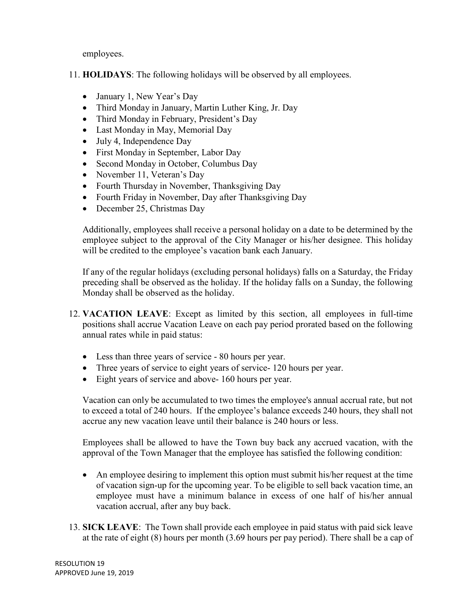employees.

- 11. **HOLIDAYS**: The following holidays will be observed by all employees.
	- January 1, New Year's Day
	- Third Monday in January, Martin Luther King, Jr. Day
	- Third Monday in February, President's Day
	- Last Monday in May, Memorial Day
	- July 4, Independence Day
	- First Monday in September, Labor Day
	- Second Monday in October, Columbus Day
	- November 11, Veteran's Day
	- Fourth Thursday in November, Thanksgiving Day
	- Fourth Friday in November, Day after Thanksgiving Day
	- December 25, Christmas Day

Additionally, employees shall receive a personal holiday on a date to be determined by the employee subject to the approval of the City Manager or his/her designee. This holiday will be credited to the employee's vacation bank each January.

If any of the regular holidays (excluding personal holidays) falls on a Saturday, the Friday preceding shall be observed as the holiday. If the holiday falls on a Sunday, the following Monday shall be observed as the holiday.

- 12. **VACATION LEAVE**: Except as limited by this section, all employees in full-time positions shall accrue Vacation Leave on each pay period prorated based on the following annual rates while in paid status:
	- Less than three years of service 80 hours per year.
	- Three years of service to eight years of service 120 hours per year.
	- Eight years of service and above- 160 hours per year.

Vacation can only be accumulated to two times the employee's annual accrual rate, but not to exceed a total of 240 hours. If the employee's balance exceeds 240 hours, they shall not accrue any new vacation leave until their balance is 240 hours or less.

Employees shall be allowed to have the Town buy back any accrued vacation, with the approval of the Town Manager that the employee has satisfied the following condition:

- An employee desiring to implement this option must submit his/her request at the time of vacation sign-up for the upcoming year. To be eligible to sell back vacation time, an employee must have a minimum balance in excess of one half of his/her annual vacation accrual, after any buy back.
- 13. **SICK LEAVE**: The Town shall provide each employee in paid status with paid sick leave at the rate of eight (8) hours per month (3.69 hours per pay period). There shall be a cap of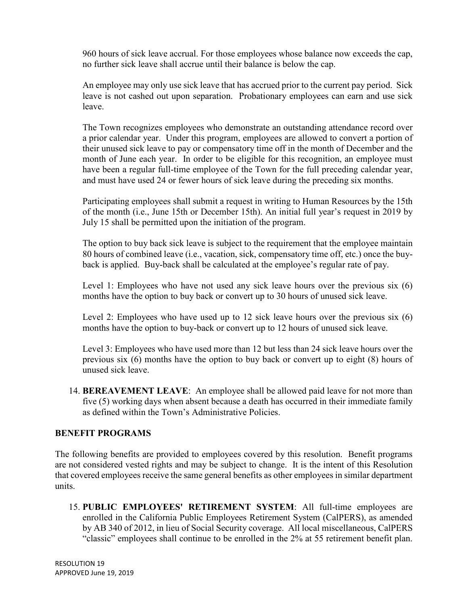960 hours of sick leave accrual. For those employees whose balance now exceeds the cap, no further sick leave shall accrue until their balance is below the cap.

An employee may only use sick leave that has accrued prior to the current pay period. Sick leave is not cashed out upon separation. Probationary employees can earn and use sick leave.

The Town recognizes employees who demonstrate an outstanding attendance record over a prior calendar year. Under this program, employees are allowed to convert a portion of their unused sick leave to pay or compensatory time off in the month of December and the month of June each year. In order to be eligible for this recognition, an employee must have been a regular full-time employee of the Town for the full preceding calendar year, and must have used 24 or fewer hours of sick leave during the preceding six months.

Participating employees shall submit a request in writing to Human Resources by the 15th of the month (i.e., June 15th or December 15th). An initial full year's request in 2019 by July 15 shall be permitted upon the initiation of the program.

The option to buy back sick leave is subject to the requirement that the employee maintain 80 hours of combined leave (i.e., vacation, sick, compensatory time off, etc.) once the buyback is applied. Buy-back shall be calculated at the employee's regular rate of pay.

Level 1: Employees who have not used any sick leave hours over the previous six (6) months have the option to buy back or convert up to 30 hours of unused sick leave.

Level 2: Employees who have used up to 12 sick leave hours over the previous six (6) months have the option to buy-back or convert up to 12 hours of unused sick leave.

Level 3: Employees who have used more than 12 but less than 24 sick leave hours over the previous six (6) months have the option to buy back or convert up to eight (8) hours of unused sick leave.

14. **BEREAVEMENT LEAVE**: An employee shall be allowed paid leave for not more than five (5) working days when absent because a death has occurred in their immediate family as defined within the Town's Administrative Policies.

# **BENEFIT PROGRAMS**

The following benefits are provided to employees covered by this resolution. Benefit programs are not considered vested rights and may be subject to change. It is the intent of this Resolution that covered employees receive the same general benefits as other employees in similar department units.

15. **PUBLIC EMPLOYEES' RETIREMENT SYSTEM**: All full-time employees are enrolled in the California Public Employees Retirement System (CalPERS), as amended by AB 340 of 2012, in lieu of Social Security coverage. All local miscellaneous, CalPERS "classic" employees shall continue to be enrolled in the 2% at 55 retirement benefit plan.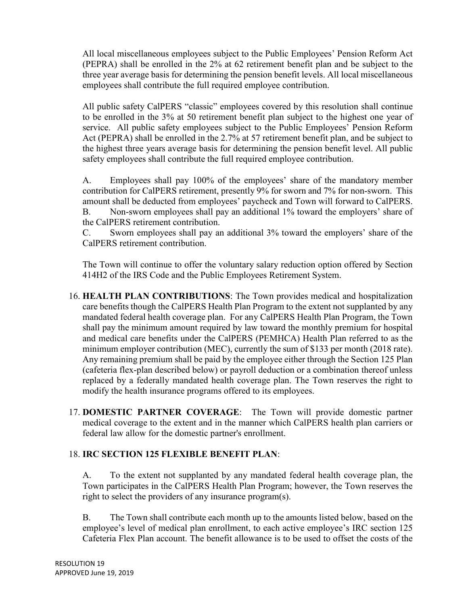All local miscellaneous employees subject to the Public Employees' Pension Reform Act (PEPRA) shall be enrolled in the 2% at 62 retirement benefit plan and be subject to the three year average basis for determining the pension benefit levels. All local miscellaneous employees shall contribute the full required employee contribution.

All public safety CalPERS "classic" employees covered by this resolution shall continue to be enrolled in the 3% at 50 retirement benefit plan subject to the highest one year of service. All public safety employees subject to the Public Employees' Pension Reform Act (PEPRA) shall be enrolled in the 2.7% at 57 retirement benefit plan, and be subject to the highest three years average basis for determining the pension benefit level. All public safety employees shall contribute the full required employee contribution.

A. Employees shall pay 100% of the employees' share of the mandatory member contribution for CalPERS retirement, presently 9% for sworn and 7% for non-sworn. This amount shall be deducted from employees' paycheck and Town will forward to CalPERS. B. Non-sworn employees shall pay an additional 1% toward the employers' share of the CalPERS retirement contribution.

C. Sworn employees shall pay an additional 3% toward the employers' share of the CalPERS retirement contribution.

The Town will continue to offer the voluntary salary reduction option offered by Section 414H2 of the IRS Code and the Public Employees Retirement System.

- 16. **HEALTH PLAN CONTRIBUTIONS**: The Town provides medical and hospitalization care benefits though the CalPERS Health Plan Program to the extent not supplanted by any mandated federal health coverage plan. For any CalPERS Health Plan Program, the Town shall pay the minimum amount required by law toward the monthly premium for hospital and medical care benefits under the CalPERS (PEMHCA) Health Plan referred to as the minimum employer contribution (MEC), currently the sum of \$133 per month (2018 rate). Any remaining premium shall be paid by the employee either through the Section 125 Plan (cafeteria flex-plan described below) or payroll deduction or a combination thereof unless replaced by a federally mandated health coverage plan. The Town reserves the right to modify the health insurance programs offered to its employees.
- 17. **DOMESTIC PARTNER COVERAGE**: The Town will provide domestic partner medical coverage to the extent and in the manner which CalPERS health plan carriers or federal law allow for the domestic partner's enrollment.

# 18. **IRC SECTION 125 FLEXIBLE BENEFIT PLAN**:

A. To the extent not supplanted by any mandated federal health coverage plan, the Town participates in the CalPERS Health Plan Program; however, the Town reserves the right to select the providers of any insurance program(s).

B. The Town shall contribute each month up to the amounts listed below, based on the employee's level of medical plan enrollment, to each active employee's IRC section 125 Cafeteria Flex Plan account. The benefit allowance is to be used to offset the costs of the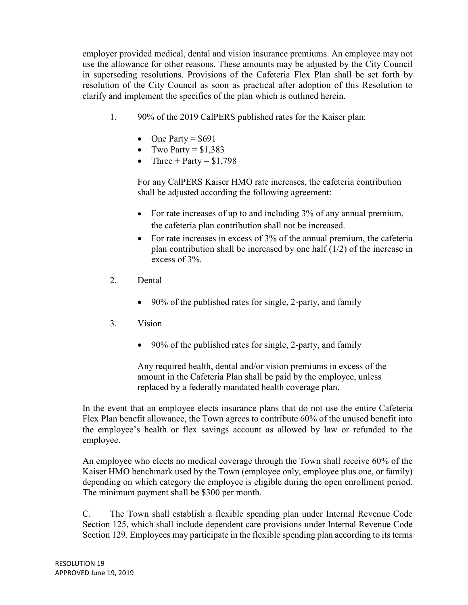employer provided medical, dental and vision insurance premiums. An employee may not use the allowance for other reasons. These amounts may be adjusted by the City Council in superseding resolutions. Provisions of the Cafeteria Flex Plan shall be set forth by resolution of the City Council as soon as practical after adoption of this Resolution to clarify and implement the specifics of the plan which is outlined herein.

- 1. 90% of the 2019 CalPERS published rates for the Kaiser plan:
	- $\bullet$  One Party = \$691
	- Two Party =  $$1,383$
	- Three + Party =  $$1,798$

For any CalPERS Kaiser HMO rate increases, the cafeteria contribution shall be adjusted according the following agreement:

- For rate increases of up to and including 3% of any annual premium, the cafeteria plan contribution shall not be increased.
- For rate increases in excess of 3% of the annual premium, the cafeteria plan contribution shall be increased by one half (1/2) of the increase in excess of 3%.
- 2. Dental
	- 90% of the published rates for single, 2-party, and family
- 3. Vision
	- 90% of the published rates for single, 2-party, and family

 Any required health, dental and/or vision premiums in excess of the amount in the Cafeteria Plan shall be paid by the employee, unless replaced by a federally mandated health coverage plan.

In the event that an employee elects insurance plans that do not use the entire Cafeteria Flex Plan benefit allowance, the Town agrees to contribute 60% of the unused benefit into the employee's health or flex savings account as allowed by law or refunded to the employee.

An employee who elects no medical coverage through the Town shall receive 60% of the Kaiser HMO benchmark used by the Town (employee only, employee plus one, or family) depending on which category the employee is eligible during the open enrollment period. The minimum payment shall be \$300 per month.

C. The Town shall establish a flexible spending plan under Internal Revenue Code Section 125, which shall include dependent care provisions under Internal Revenue Code Section 129. Employees may participate in the flexible spending plan according to its terms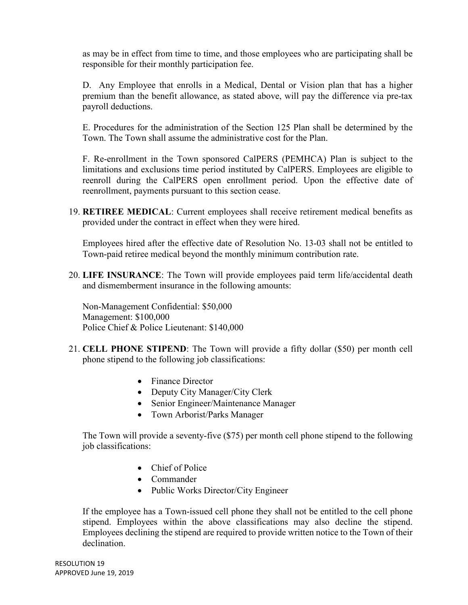as may be in effect from time to time, and those employees who are participating shall be responsible for their monthly participation fee.

D. Any Employee that enrolls in a Medical, Dental or Vision plan that has a higher premium than the benefit allowance, as stated above, will pay the difference via pre-tax payroll deductions.

E. Procedures for the administration of the Section 125 Plan shall be determined by the Town. The Town shall assume the administrative cost for the Plan.

F. Re-enrollment in the Town sponsored CalPERS (PEMHCA) Plan is subject to the limitations and exclusions time period instituted by CalPERS. Employees are eligible to reenroll during the CalPERS open enrollment period. Upon the effective date of reenrollment, payments pursuant to this section cease.

19. **RETIREE MEDICAL**: Current employees shall receive retirement medical benefits as provided under the contract in effect when they were hired.

Employees hired after the effective date of Resolution No. 13-03 shall not be entitled to Town-paid retiree medical beyond the monthly minimum contribution rate.

20. **LIFE INSURANCE**: The Town will provide employees paid term life/accidental death and dismemberment insurance in the following amounts:

Non-Management Confidential: \$50,000 Management: \$100,000 Police Chief & Police Lieutenant: \$140,000

- 21. **CELL PHONE STIPEND**: The Town will provide a fifty dollar (\$50) per month cell phone stipend to the following job classifications:
	- Finance Director
	- Deputy City Manager/City Clerk
	- Senior Engineer/Maintenance Manager
	- Town Arborist/Parks Manager

The Town will provide a seventy-five (\$75) per month cell phone stipend to the following job classifications:

- Chief of Police
- Commander
- Public Works Director/City Engineer

If the employee has a Town-issued cell phone they shall not be entitled to the cell phone stipend. Employees within the above classifications may also decline the stipend. Employees declining the stipend are required to provide written notice to the Town of their declination.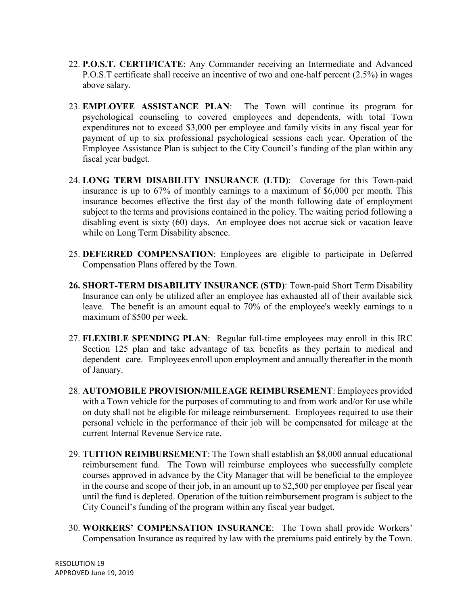- 22. **P.O.S.T. CERTIFICATE**: Any Commander receiving an Intermediate and Advanced P.O.S.T certificate shall receive an incentive of two and one-half percent (2.5%) in wages above salary.
- 23. **EMPLOYEE ASSISTANCE PLAN**: The Town will continue its program for psychological counseling to covered employees and dependents, with total Town expenditures not to exceed \$3,000 per employee and family visits in any fiscal year for payment of up to six professional psychological sessions each year. Operation of the Employee Assistance Plan is subject to the City Council's funding of the plan within any fiscal year budget.
- 24. **LONG TERM DISABILITY INSURANCE (LTD)**: Coverage for this Town-paid insurance is up to 67% of monthly earnings to a maximum of \$6,000 per month. This insurance becomes effective the first day of the month following date of employment subject to the terms and provisions contained in the policy. The waiting period following a disabling event is sixty (60) days. An employee does not accrue sick or vacation leave while on Long Term Disability absence.
- 25. **DEFERRED COMPENSATION**: Employees are eligible to participate in Deferred Compensation Plans offered by the Town.
- **26. SHORT-TERM DISABILITY INSURANCE (STD)**: Town-paid Short Term Disability Insurance can only be utilized after an employee has exhausted all of their available sick leave. The benefit is an amount equal to 70% of the employee's weekly earnings to a maximum of \$500 per week.
- 27. **FLEXIBLE SPENDING PLAN**: Regular full-time employees may enroll in this IRC Section 125 plan and take advantage of tax benefits as they pertain to medical and dependent care. Employees enroll upon employment and annually thereafter in the month of January.
- 28. **AUTOMOBILE PROVISION/MILEAGE REIMBURSEMENT**: Employees provided with a Town vehicle for the purposes of commuting to and from work and/or for use while on duty shall not be eligible for mileage reimbursement. Employees required to use their personal vehicle in the performance of their job will be compensated for mileage at the current Internal Revenue Service rate.
- 29. **TUITION REIMBURSEMENT**: The Town shall establish an \$8,000 annual educational reimbursement fund. The Town will reimburse employees who successfully complete courses approved in advance by the City Manager that will be beneficial to the employee in the course and scope of their job, in an amount up to \$2,500 per employee per fiscal year until the fund is depleted. Operation of the tuition reimbursement program is subject to the City Council's funding of the program within any fiscal year budget.
- 30. **WORKERS' COMPENSATION INSURANCE**: The Town shall provide Workers' Compensation Insurance as required by law with the premiums paid entirely by the Town.